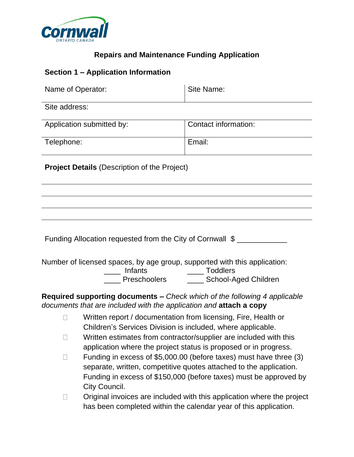

## **Repairs and Maintenance Funding Application**

## **Section 1 – Application Information**

| Name of Operator:                                   | Site Name:           |  |
|-----------------------------------------------------|----------------------|--|
| Site address:                                       |                      |  |
| Application submitted by:                           | Contact information: |  |
| Telephone:                                          | Email:               |  |
| <b>Project Details (Description of the Project)</b> |                      |  |
|                                                     |                      |  |
|                                                     |                      |  |

Number of licensed spaces, by age group, supported with this application:

\_\_\_\_ Infants \_\_\_\_ Toddlers

The Preschoolers **The School-Aged Children** 

**Required supporting documents –** *Check which of the following 4 applicable documents that are included with the application and* **attach a copy**

- Written report / documentation from licensing, Fire, Health or  $\Box$ Children's Services Division is included, where applicable.
- Written estimates from contractor/supplier are included with this  $\Box$ application where the project status is proposed or in progress.
- Funding in excess of \$5,000.00 (before taxes) must have three (3)  $\Box$ separate, written, competitive quotes attached to the application. Funding in excess of \$150,000 (before taxes) must be approved by City Council.
- $\Box$ Original invoices are included with this application where the project has been completed within the calendar year of this application.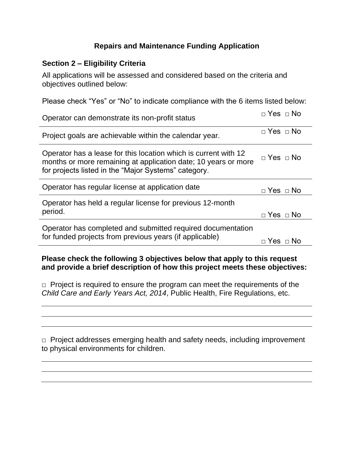## **Repairs and Maintenance Funding Application**

## **Section 2 – Eligibility Criteria**

All applications will be assessed and considered based on the criteria and objectives outlined below:

Please check "Yes" or "No" to indicate compliance with the 6 items listed below:

| Operator can demonstrate its non-profit status                                                                                                                                            | $\Box$ Yes $\Box$ No |
|-------------------------------------------------------------------------------------------------------------------------------------------------------------------------------------------|----------------------|
| Project goals are achievable within the calendar year.                                                                                                                                    | $\Box$ Yes $\Box$ No |
| Operator has a lease for this location which is current with 12<br>months or more remaining at application date; 10 years or more<br>for projects listed in the "Major Systems" category. | $\Box$ Yes $\Box$ No |
| Operator has regular license at application date                                                                                                                                          | $\Box$ Yes $\Box$ No |
| Operator has held a regular license for previous 12-month                                                                                                                                 |                      |
| period.                                                                                                                                                                                   | $\Box$ Yes $\Box$ No |
| Operator has completed and submitted required documentation                                                                                                                               |                      |
| for funded projects from previous years (if applicable)                                                                                                                                   | $\Box$ Yes $\Box$ No |

**Please check the following 3 objectives below that apply to this request and provide a brief description of how this project meets these objectives:**

 $\Box$  Project is required to ensure the program can meet the requirements of the *Child Care and Early Years Act, 2014*, Public Health, Fire Regulations, etc.

□ Project addresses emerging health and safety needs, including improvement to physical environments for children.